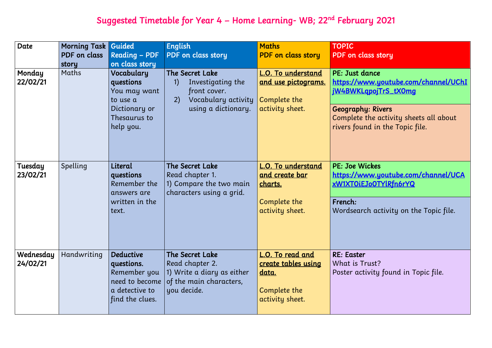## Suggested Timetable for Year 4 – Home Learning- WB; 22<sup>nd</sup> February 2021

| <b>Date</b><br>Monday<br>22/02/21 | <b>Morning Task Guided</b><br>PDF on class<br>story<br>Maths | <b>Reading - PDF</b><br>on class story<br>Vocabulary<br>questions<br>You may want<br>to use a<br>Dictionary or<br>Thesaurus to<br>help you. | <b>English</b><br>PDF on class story<br><b>The Secret Lake</b><br>Investigating the<br>$\left( \left  \right  \right)$<br>front cover.<br>Vocabulary activity<br>2)<br>using a dictionary. | <b>Maths</b><br><b>PDF</b> on class story<br><b>L.O. To understand</b><br><u>and use pictograms.</u><br>Complete the<br>activity sheet. | <b>TOPIC</b><br><b>PDF</b> on clas<br>PE: Just dar<br>https://www<br>jW4BWKLqp<br>Geography:<br>Complete th<br>rivers found |
|-----------------------------------|--------------------------------------------------------------|---------------------------------------------------------------------------------------------------------------------------------------------|--------------------------------------------------------------------------------------------------------------------------------------------------------------------------------------------|-----------------------------------------------------------------------------------------------------------------------------------------|-----------------------------------------------------------------------------------------------------------------------------|
| Tuesday<br>23/02/21               | Spelling                                                     | Literal<br>questions<br>Remember the<br>answers are<br>written in the<br>text.                                                              | <b>The Secret Lake</b><br>Read chapter 1.<br>1) Compare the two main<br>characters using a grid.                                                                                           | <u>L.O. To understand</u><br><u>and create bar</u><br>charts.<br>Complete the<br>activity sheet.                                        | PE: Joe Wicl<br>https://www<br>xW1XTOiEJo<br>French:<br>Wordsearch                                                          |
| Wednesday<br>24/02/21             | Handwriting                                                  | <b>Deductive</b><br>questions.<br>Remember you<br>need to become<br>a detective to<br>find the clues.                                       | <b>The Secret Lake</b><br>Read chapter 2.<br>1) Write a diary as either<br>of the main characters,<br>you decide.                                                                          | <u>L.O. To read and</u><br><u>create tables using</u><br><u>data.</u><br>Complete the<br>activity sheet.                                | <b>RE: Easter</b><br>What is Tru<br>Poster activ                                                                            |



### ss story

nce

w.youtube.com/channel/UChI pojTrS\_tX0mg

Rivers re activity sheets all about in the Topic file.

:kes w.youtube.com/channel/UCA 0TYlRfn6rYQ

activity on the Topic file.

lst? ity found in Topic file.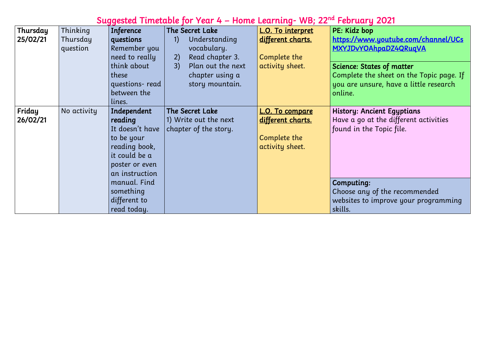## Suggested Timetable for Year 4 – Home Learning- WB; 22<sup>nd</sup> February 2021

| Thursday           | Thinking             | <b>Inference</b>                                                                                                                                                           | The Secret Lake                                                                                                              | L.O. To interpret                                                              | PE: Kidz bop                                                                                  |
|--------------------|----------------------|----------------------------------------------------------------------------------------------------------------------------------------------------------------------------|------------------------------------------------------------------------------------------------------------------------------|--------------------------------------------------------------------------------|-----------------------------------------------------------------------------------------------|
| 25/02/21           | Thursday<br>question | questions<br>Remember you<br>need to really<br>think about<br>these<br>questions-read<br>between the<br>lines.                                                             | Understanding<br>1)<br>vocabulary.<br>Read chapter 3.<br>2)<br>3)<br>Plan out the next<br>chapter using a<br>story mountain. | different charts.<br>Complete the<br>activity sheet.                           | https://www<br>MXYJDvYOA<br>Science: State<br>Complete the<br>you are unsu<br>online.         |
| Friday<br>26/02/21 | No activity          | Independent<br>reading<br>It doesn't have<br>to be your<br>reading book,<br>it could be a<br>poster or even<br>an instruction<br>manual. Find<br>something<br>different to | The Secret Lake<br>1) Write out the next<br>chapter of the story.                                                            | <u>L.O. To compare</u><br>different charts.<br>Complete the<br>activity sheet. | History: Anci<br>Have a go at<br>found in the<br>Computing:<br>Choose any c<br>websites to in |

<mark>w.youtube.com/channel/UCs</mark> hpaDZ4QRuqVA

tes of matter  $\mathbf{E}$  e sheet on the Topic page. If ure, have a little research

cient Egyptians t the different activities Topic file.

of the recommended improve your programming